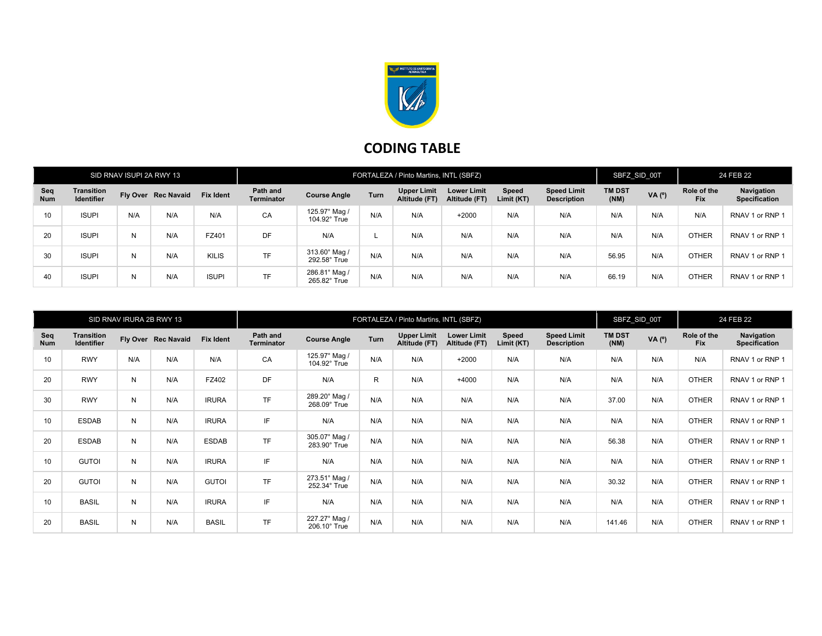

## CODING TABLE

| SID RNAV ISUPI 2A RWY 13 |                                        |     |                     | FORTALEZA / Pinto Martins, INTL (SBFZ) |                               |                               |             |                                     |                                     |                     |                                          | SBFZ SID 00T          |            | 24 FEB 22                 |                             |
|--------------------------|----------------------------------------|-----|---------------------|----------------------------------------|-------------------------------|-------------------------------|-------------|-------------------------------------|-------------------------------------|---------------------|------------------------------------------|-----------------------|------------|---------------------------|-----------------------------|
| Seq<br><b>Num</b>        | <b>Transition</b><br><b>Identifier</b> |     | Fly Over Rec Navaid | <b>Fix Ident</b>                       | Path and<br><b>Terminator</b> | <b>Course Angle</b>           | <b>Turn</b> | <b>Upper Limit</b><br>Altitude (FT) | <b>Lower Limit</b><br>Altitude (FT) | Speed<br>Limit (KT) | <b>Speed Limit</b><br><b>Description</b> | <b>TM DST</b><br>(NM) | $VA(^{o})$ | Role of the<br><b>Fix</b> | Navigation<br>Specification |
| 10 <sup>1</sup>          | <b>ISUPI</b>                           | N/A | N/A                 | N/A                                    | CA                            | 125.97° Mag /<br>104.92° True | N/A         | N/A                                 | $+2000$                             | N/A                 | N/A                                      | N/A                   | N/A        | N/A                       | RNAV 1 or RNP 1             |
| 20                       | <b>ISUPI</b>                           | Ν   | N/A                 | FZ401                                  | <b>DF</b>                     | N/A                           |             | N/A                                 | N/A                                 | N/A                 | N/A                                      | N/A                   | N/A        | <b>OTHER</b>              | RNAV 1 or RNP 1             |
| 30                       | <b>ISUPI</b>                           | N   | N/A                 | KILIS                                  | <b>TF</b>                     | 313.60° Mag /<br>292.58° True | N/A         | N/A                                 | N/A                                 | N/A                 | N/A                                      | 56.95                 | N/A        | <b>OTHER</b>              | RNAV 1 or RNP 1             |
| 40                       | <b>ISUPI</b>                           | Ν   | N/A                 | <b>ISUPI</b>                           | <b>TF</b>                     | 286.81° Mag /<br>265.82° True | N/A         | N/A                                 | N/A                                 | N/A                 | N/A                                      | 66.19                 | N/A        | <b>OTHER</b>              | RNAV 1 or RNP 1             |

| SID RNAV IRURA 2B RWY 13 |                                        |              |                     | FORTALEZA / Pinto Martins, INTL (SBFZ) |                               |                               |      |                                     |                                     |                     |                                          | SBFZ SID 00T          |       | 24 FEB 22                 |                                    |
|--------------------------|----------------------------------------|--------------|---------------------|----------------------------------------|-------------------------------|-------------------------------|------|-------------------------------------|-------------------------------------|---------------------|------------------------------------------|-----------------------|-------|---------------------------|------------------------------------|
| Seq<br><b>Num</b>        | <b>Transition</b><br><b>Identifier</b> |              | Fly Over Rec Navaid | <b>Fix Ident</b>                       | Path and<br><b>Terminator</b> | <b>Course Angle</b>           | Turn | <b>Upper Limit</b><br>Altitude (FT) | <b>Lower Limit</b><br>Altitude (FT) | Speed<br>Limit (KT) | <b>Speed Limit</b><br><b>Description</b> | <b>TM DST</b><br>(NM) | VA(°) | Role of the<br><b>Fix</b> | Navigation<br><b>Specification</b> |
| 10                       | <b>RWY</b>                             | N/A          | N/A                 | N/A                                    | CA                            | 125.97° Mag /<br>104.92° True | N/A  | N/A                                 | $+2000$                             | N/A                 | N/A                                      | N/A                   | N/A   | N/A                       | RNAV 1 or RNP 1                    |
| 20                       | <b>RWY</b>                             | N            | N/A                 | FZ402                                  | <b>DF</b>                     | N/A                           | R    | N/A                                 | $+4000$                             | N/A                 | N/A                                      | N/A                   | N/A   | <b>OTHER</b>              | RNAV 1 or RNP 1                    |
| 30                       | <b>RWY</b>                             | N            | N/A                 | <b>IRURA</b>                           | <b>TF</b>                     | 289.20° Mag /<br>268.09° True | N/A  | N/A                                 | N/A                                 | N/A                 | N/A                                      | 37.00                 | N/A   | <b>OTHER</b>              | RNAV 1 or RNP 1                    |
| 10                       | <b>ESDAB</b>                           | N            | N/A                 | <b>IRURA</b>                           | IF.                           | N/A                           | N/A  | N/A                                 | N/A                                 | N/A                 | N/A                                      | N/A                   | N/A   | <b>OTHER</b>              | RNAV 1 or RNP 1                    |
| 20                       | <b>ESDAB</b>                           | N            | N/A                 | <b>ESDAB</b>                           | <b>TF</b>                     | 305.07° Mag /<br>283.90° True | N/A  | N/A                                 | N/A                                 | N/A                 | N/A                                      | 56.38                 | N/A   | <b>OTHER</b>              | RNAV 1 or RNP 1                    |
| 10                       | <b>GUTOI</b>                           | N            | N/A                 | <b>IRURA</b>                           | IF                            | N/A                           | N/A  | N/A                                 | N/A                                 | N/A                 | N/A                                      | N/A                   | N/A   | <b>OTHER</b>              | RNAV 1 or RNP 1                    |
| 20                       | <b>GUTOI</b>                           | N            | N/A                 | <b>GUTOI</b>                           | <b>TF</b>                     | 273.51° Mag<br>252.34° True   | N/A  | N/A                                 | N/A                                 | N/A                 | N/A                                      | 30.32                 | N/A   | <b>OTHER</b>              | RNAV 1 or RNP 1                    |
| 10                       | <b>BASIL</b>                           | $\mathsf{N}$ | N/A                 | <b>IRURA</b>                           | IF                            | N/A                           | N/A  | N/A                                 | N/A                                 | N/A                 | N/A                                      | N/A                   | N/A   | <b>OTHER</b>              | RNAV 1 or RNP 1                    |
| 20                       | <b>BASIL</b>                           | N            | N/A                 | <b>BASIL</b>                           | <b>TF</b>                     | 227.27° Mag /<br>206.10° True | N/A  | N/A                                 | N/A                                 | N/A                 | N/A                                      | 141.46                | N/A   | <b>OTHER</b>              | RNAV 1 or RNP 1                    |